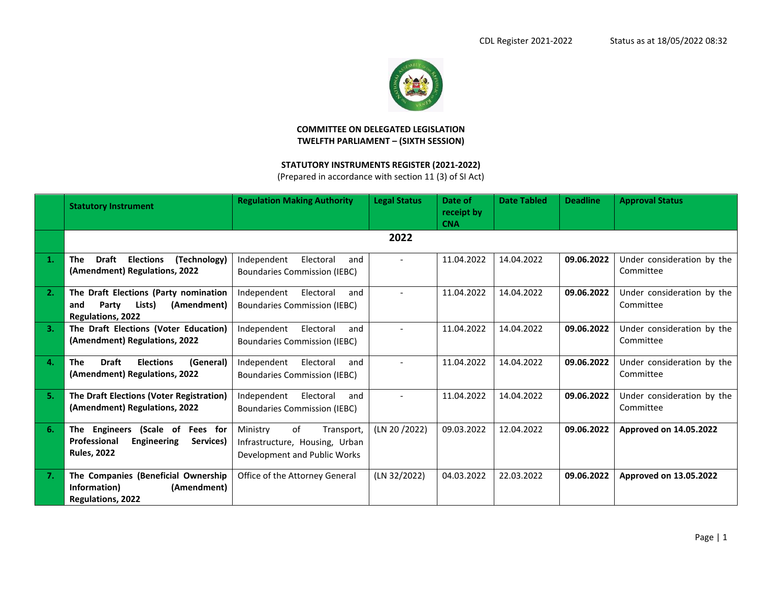

## **COMMITTEE ON DELEGATED LEGISLATION TWELFTH PARLIAMENT – (SIXTH SESSION)**

## **STATUTORY INSTRUMENTS REGISTER (2021-2022)**

(Prepared in accordance with section 11 (3) of SI Act)

|    | <b>Statutory Instrument</b>                                                                                     | <b>Regulation Making Authority</b>                                                             | <b>Legal Status</b> | Date of<br>receipt by<br><b>CNA</b> | <b>Date Tabled</b> | <b>Deadline</b> | <b>Approval Status</b>                  |
|----|-----------------------------------------------------------------------------------------------------------------|------------------------------------------------------------------------------------------------|---------------------|-------------------------------------|--------------------|-----------------|-----------------------------------------|
|    |                                                                                                                 |                                                                                                | 2022                |                                     |                    |                 |                                         |
| 1. | <b>Draft</b><br><b>Elections</b><br>(Technology)<br>The<br>(Amendment) Regulations, 2022                        | Independent<br>Electoral<br>and<br><b>Boundaries Commission (IEBC)</b>                         |                     | 11.04.2022                          | 14.04.2022         | 09.06.2022      | Under consideration by the<br>Committee |
| 2. | The Draft Elections (Party nomination<br>Party<br>Lists)<br>(Amendment)<br>and<br>Regulations, 2022             | Independent<br>Electoral<br>and<br><b>Boundaries Commission (IEBC)</b>                         |                     | 11.04.2022                          | 14.04.2022         | 09.06.2022      | Under consideration by the<br>Committee |
| 3. | The Draft Elections (Voter Education)<br>(Amendment) Regulations, 2022                                          | Independent<br>Electoral<br>and<br><b>Boundaries Commission (IEBC)</b>                         |                     | 11.04.2022                          | 14.04.2022         | 09.06.2022      | Under consideration by the<br>Committee |
| 4. | <b>Draft</b><br><b>Elections</b><br>(General)<br><b>The</b><br>(Amendment) Regulations, 2022                    | Independent<br>Electoral<br>and<br><b>Boundaries Commission (IEBC)</b>                         |                     | 11.04.2022                          | 14.04.2022         | 09.06.2022      | Under consideration by the<br>Committee |
| 5. | The Draft Elections (Voter Registration)<br>(Amendment) Regulations, 2022                                       | Electoral<br>Independent<br>and<br><b>Boundaries Commission (IEBC)</b>                         |                     | 11.04.2022                          | 14.04.2022         | 09.06.2022      | Under consideration by the<br>Committee |
| 6. | The Engineers<br>(Scale of<br>Fees for<br>Professional<br><b>Engineering</b><br>Services)<br><b>Rules, 2022</b> | of<br>Ministry<br>Transport,<br>Infrastructure, Housing, Urban<br>Development and Public Works | (LN 20/2022)        | 09.03.2022                          | 12.04.2022         | 09.06.2022      | Approved on 14.05.2022                  |
| 7. | The Companies (Beneficial Ownership<br>Information)<br>(Amendment)<br><b>Regulations, 2022</b>                  | Office of the Attorney General                                                                 | (LN 32/2022)        | 04.03.2022                          | 22.03.2022         | 09.06.2022      | Approved on 13.05.2022                  |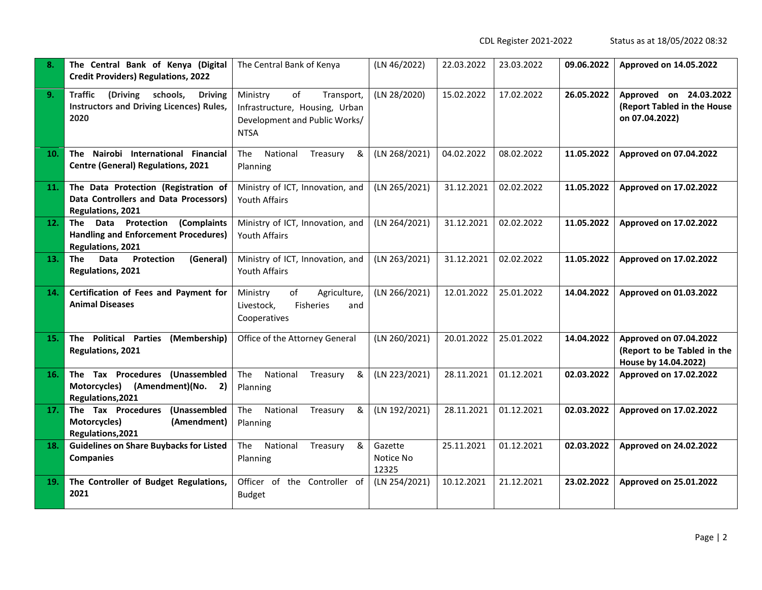CDL Register 2021-2022 Status as at 18/05/2022 08:32

| 8.  | The Central Bank of Kenya (Digital<br><b>Credit Providers) Regulations, 2022</b>                             | The Central Bank of Kenya                                                                                      | (LN 46/2022)                  | 22.03.2022 | 23.03.2022 | 09.06.2022 | Approved on 14.05.2022                                                        |
|-----|--------------------------------------------------------------------------------------------------------------|----------------------------------------------------------------------------------------------------------------|-------------------------------|------------|------------|------------|-------------------------------------------------------------------------------|
| 9.  | <b>Traffic</b><br>(Driving<br>schools,<br><b>Driving</b><br>Instructors and Driving Licences) Rules,<br>2020 | of<br>Ministry<br>Transport,<br>Infrastructure, Housing, Urban<br>Development and Public Works/<br><b>NTSA</b> | (LN 28/2020)                  | 15.02.2022 | 17.02.2022 | 26.05.2022 | Approved on 24.03.2022<br>(Report Tabled in the House<br>on 07.04.2022)       |
| 10. | The Nairobi International Financial<br><b>Centre (General) Regulations, 2021</b>                             | National<br><b>The</b><br>Treasury<br>&<br>Planning                                                            | (LN 268/2021)                 | 04.02.2022 | 08.02.2022 | 11.05.2022 | Approved on 07.04.2022                                                        |
| 11. | The Data Protection (Registration of<br>Data Controllers and Data Processors)<br>Regulations, 2021           | Ministry of ICT, Innovation, and<br><b>Youth Affairs</b>                                                       | (LN 265/2021)                 | 31.12.2021 | 02.02.2022 | 11.05.2022 | Approved on 17.02.2022                                                        |
| 12. | The Data Protection (Complaints<br><b>Handling and Enforcement Procedures)</b><br>Regulations, 2021          | Ministry of ICT, Innovation, and<br><b>Youth Affairs</b>                                                       | (LN 264/2021)                 | 31.12.2021 | 02.02.2022 | 11.05.2022 | Approved on 17.02.2022                                                        |
| 13. | Data<br>(General)<br>The<br><b>Protection</b><br>Regulations, 2021                                           | Ministry of ICT, Innovation, and<br>Youth Affairs                                                              | (LN 263/2021)                 | 31.12.2021 | 02.02.2022 | 11.05.2022 | Approved on 17.02.2022                                                        |
| 14. | Certification of Fees and Payment for<br><b>Animal Diseases</b>                                              | Ministry<br>of<br>Agriculture,<br>Livestock,<br><b>Fisheries</b><br>and<br>Cooperatives                        | (LN 266/2021)                 | 12.01.2022 | 25.01.2022 | 14.04.2022 | Approved on 01.03.2022                                                        |
| 15. | The Political Parties<br>(Membership)<br>Regulations, 2021                                                   | Office of the Attorney General                                                                                 | (LN 260/2021)                 | 20.01.2022 | 25.01.2022 | 14.04.2022 | Approved on 07.04.2022<br>(Report to be Tabled in the<br>House by 14.04.2022) |
| 16. | The Tax Procedures (Unassembled<br>Motorcycles) (Amendment)(No. 2)<br>Regulations, 2021                      | National<br>&<br>The<br>Treasury<br>Planning                                                                   | (LN 223/2021)                 | 28.11.2021 | 01.12.2021 | 02.03.2022 | Approved on 17.02.2022                                                        |
| 17. | The Tax Procedures<br>(Unassembled<br>Motorcycles)<br>(Amendment)<br>Regulations, 2021                       | National<br>The<br>&<br>Treasury<br>Planning                                                                   | (LN 192/2021)                 | 28.11.2021 | 01.12.2021 | 02.03.2022 | Approved on 17.02.2022                                                        |
| 18. | <b>Guidelines on Share Buybacks for Listed</b><br><b>Companies</b>                                           | National<br>The<br>Treasury<br>&<br>Planning                                                                   | Gazette<br>Notice No<br>12325 | 25.11.2021 | 01.12.2021 | 02.03.2022 | Approved on 24.02.2022                                                        |
| 19. | The Controller of Budget Regulations,<br>2021                                                                | Officer of the Controller of<br><b>Budget</b>                                                                  | (LN 254/2021)                 | 10.12.2021 | 21.12.2021 | 23.02.2022 | Approved on 25.01.2022                                                        |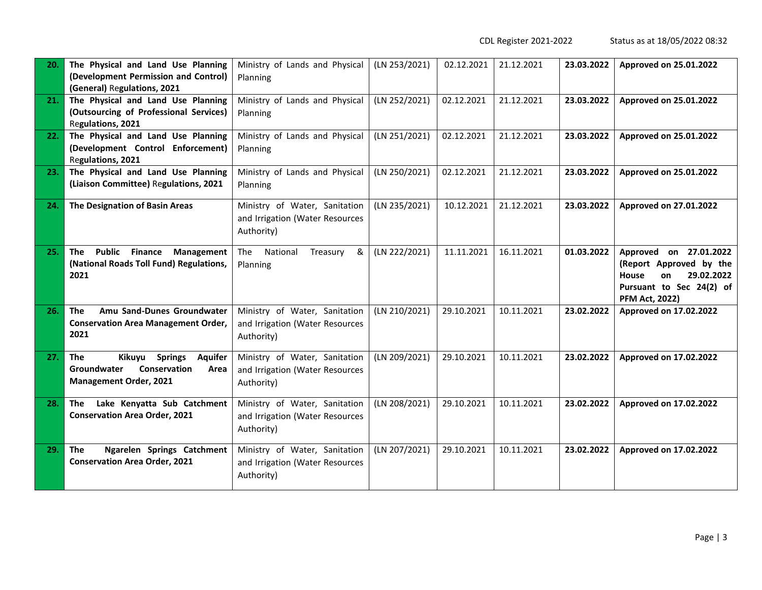CDL Register 2021-2022 Status as at 18/05/2022 08:32

| 20. | The Physical and Land Use Planning<br>(Development Permission and Control)<br>(General) Regulations, 2021                        | Ministry of Lands and Physical<br>Planning                                     | (LN 253/2021) | 02.12.2021 | 21.12.2021 | 23.03.2022 | Approved on 25.01.2022                                                                                                                     |
|-----|----------------------------------------------------------------------------------------------------------------------------------|--------------------------------------------------------------------------------|---------------|------------|------------|------------|--------------------------------------------------------------------------------------------------------------------------------------------|
| 21. | The Physical and Land Use Planning<br>(Outsourcing of Professional Services)<br>Regulations, 2021                                | Ministry of Lands and Physical<br>Planning                                     | (LN 252/2021) | 02.12.2021 | 21.12.2021 | 23.03.2022 | Approved on 25.01.2022                                                                                                                     |
| 22. | The Physical and Land Use Planning<br>(Development Control Enforcement)<br>Regulations, 2021                                     | Ministry of Lands and Physical<br>Planning                                     | (LN 251/2021) | 02.12.2021 | 21.12.2021 | 23.03.2022 | Approved on 25.01.2022                                                                                                                     |
| 23. | The Physical and Land Use Planning<br>(Liaison Committee) Regulations, 2021                                                      | Ministry of Lands and Physical<br>Planning                                     | (LN 250/2021) | 02.12.2021 | 21.12.2021 | 23.03.2022 | Approved on 25.01.2022                                                                                                                     |
| 24. | The Designation of Basin Areas                                                                                                   | Ministry of Water, Sanitation<br>and Irrigation (Water Resources<br>Authority) | (LN 235/2021) | 10.12.2021 | 21.12.2021 | 23.03.2022 | Approved on 27.01.2022                                                                                                                     |
| 25. | Public Finance Management<br>The<br>(National Roads Toll Fund) Regulations,<br>2021                                              | National<br>The<br>Treasury<br>&<br>Planning                                   | (LN 222/2021) | 11.11.2021 | 16.11.2021 | 01.03.2022 | Approved on 27.01.2022<br>(Report Approved by the<br><b>House</b><br>29.02.2022<br>on<br>Pursuant to Sec 24(2) of<br><b>PFM Act, 2022)</b> |
| 26. | The<br>Amu Sand-Dunes Groundwater<br><b>Conservation Area Management Order,</b><br>2021                                          | Ministry of Water, Sanitation<br>and Irrigation (Water Resources<br>Authority) | (LN 210/2021) | 29.10.2021 | 10.11.2021 | 23.02.2022 | Approved on 17.02.2022                                                                                                                     |
| 27. | Kikuyu<br><b>The</b><br><b>Springs</b><br><b>Aquifer</b><br>Conservation<br>Groundwater<br>Area<br><b>Management Order, 2021</b> | Ministry of Water, Sanitation<br>and Irrigation (Water Resources<br>Authority) | (LN 209/2021) | 29.10.2021 | 10.11.2021 | 23.02.2022 | Approved on 17.02.2022                                                                                                                     |
| 28. | Lake Kenyatta Sub Catchment<br>The<br><b>Conservation Area Order, 2021</b>                                                       | Ministry of Water, Sanitation<br>and Irrigation (Water Resources<br>Authority) | (LN 208/2021) | 29.10.2021 | 10.11.2021 | 23.02.2022 | Approved on 17.02.2022                                                                                                                     |
| 29. | <b>The</b><br>Ngarelen Springs Catchment<br><b>Conservation Area Order, 2021</b>                                                 | Ministry of Water, Sanitation<br>and Irrigation (Water Resources<br>Authority) | (LN 207/2021) | 29.10.2021 | 10.11.2021 | 23.02.2022 | Approved on 17.02.2022                                                                                                                     |